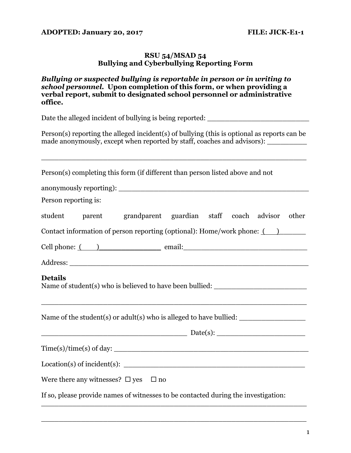## **ADOPTED: January 20, 2017 FILE: JICK-E1-1**

## **RSU 54/MSAD 54 Bullying and Cyberbullying Reporting Form**

## *Bullying or suspected bullying is reportable in person or in writing to school personnel.* **Upon completion of this form, or when providing a verbal report, submit to designated school personnel or administrative office.**

Date the alleged incident of bullying is being reported: \_\_\_\_\_\_\_\_\_\_\_\_\_\_\_\_\_\_\_\_\_\_\_

Person(s) reporting the alleged incident(s) of bullying (this is optional as reports can be made anonymously, except when reported by staff, coaches and advisors): \_\_\_\_\_\_\_\_

| Person(s) completing this form (if different than person listed above and not                                                                                                                                                                                                                                                                                         |
|-----------------------------------------------------------------------------------------------------------------------------------------------------------------------------------------------------------------------------------------------------------------------------------------------------------------------------------------------------------------------|
|                                                                                                                                                                                                                                                                                                                                                                       |
| Person reporting is:                                                                                                                                                                                                                                                                                                                                                  |
| student parent grandparent guardian staff coach advisor other                                                                                                                                                                                                                                                                                                         |
| Contact information of person reporting (optional): Home/work phone: $($                                                                                                                                                                                                                                                                                              |
| Cell phone: ( ) email:                                                                                                                                                                                                                                                                                                                                                |
|                                                                                                                                                                                                                                                                                                                                                                       |
| <b>Details</b><br>Name of student(s) who is believed to have been bullied: _______________________<br><u> 1989 - Johann Stoff, amerikan bestein besteht aus dem besteht aus dem Berlingen aus der Berlingen aus der Be</u>                                                                                                                                            |
| Name of the student(s) or adult(s) who is alleged to have bullied: $\frac{1}{\sqrt{1-\frac{1}{\sqrt{1-\frac{1}{\sqrt{1-\frac{1}{\sqrt{1-\frac{1}{\sqrt{1-\frac{1}{\sqrt{1-\frac{1}{\sqrt{1-\frac{1}{\sqrt{1-\frac{1}{\sqrt{1-\frac{1}{\sqrt{1-\frac{1}{\sqrt{1-\frac{1}{\sqrt{1-\frac{1}{\sqrt{1-\frac{1}{\sqrt{1-\frac{1}{\sqrt{1-\frac{1}{\sqrt{1-\frac{1}{\sqrt{1$ |
|                                                                                                                                                                                                                                                                                                                                                                       |
|                                                                                                                                                                                                                                                                                                                                                                       |
|                                                                                                                                                                                                                                                                                                                                                                       |
| Were there any witnesses? $\square$ yes $\square$ no                                                                                                                                                                                                                                                                                                                  |
| If so, please provide names of witnesses to be contacted during the investigation:                                                                                                                                                                                                                                                                                    |

\_\_\_\_\_\_\_\_\_\_\_\_\_\_\_\_\_\_\_\_\_\_\_\_\_\_\_\_\_\_\_\_\_\_\_\_\_\_\_\_\_\_\_\_\_\_\_\_\_\_\_\_\_\_\_\_\_\_\_\_